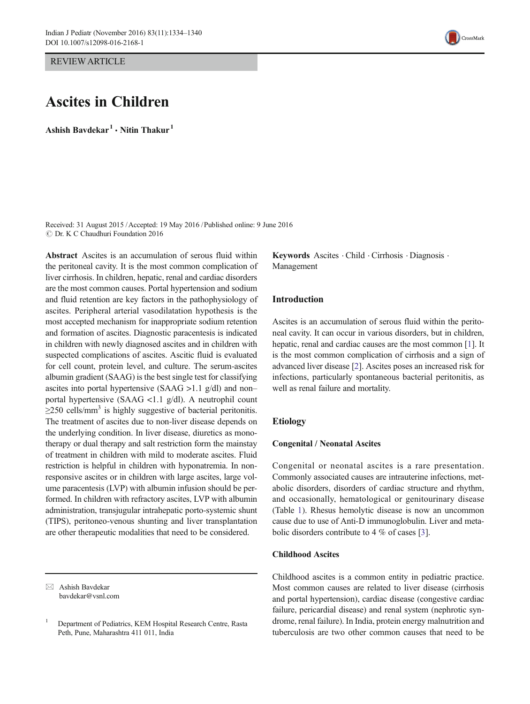REVIEW ARTICLE

# Ascites in Children

Ashish Baydekar<sup>1</sup> . Nitin Thakur<sup>1</sup>

Received: 31 August 2015 /Accepted: 19 May 2016 /Published online: 9 June 2016  $\odot$  Dr. K C Chaudhuri Foundation 2016

Abstract Ascites is an accumulation of serous fluid within the peritoneal cavity. It is the most common complication of liver cirrhosis. In children, hepatic, renal and cardiac disorders are the most common causes. Portal hypertension and sodium and fluid retention are key factors in the pathophysiology of ascites. Peripheral arterial vasodilatation hypothesis is the most accepted mechanism for inappropriate sodium retention and formation of ascites. Diagnostic paracentesis is indicated in children with newly diagnosed ascites and in children with suspected complications of ascites. Ascitic fluid is evaluated for cell count, protein level, and culture. The serum-ascites albumin gradient (SAAG) is the best single test for classifying ascites into portal hypertensive (SAAG >1.1 g/dl) and non– portal hypertensive (SAAG <1.1 g/dl). A neutrophil count  $\geq$ 250 cells/mm<sup>3</sup> is highly suggestive of bacterial peritonitis. The treatment of ascites due to non-liver disease depends on the underlying condition. In liver disease, diuretics as monotherapy or dual therapy and salt restriction form the mainstay of treatment in children with mild to moderate ascites. Fluid restriction is helpful in children with hyponatremia. In nonresponsive ascites or in children with large ascites, large volume paracentesis (LVP) with albumin infusion should be performed. In children with refractory ascites, LVP with albumin administration, transjugular intrahepatic porto-systemic shunt (TIPS), peritoneo-venous shunting and liver transplantation are other therapeutic modalities that need to be considered.

 $\boxtimes$  Ashish Bavdekar bavdekar@vsnl.com

Keywords Ascites . Child . Cirrhosis . Diagnosis . Management

# Introduction

Ascites is an accumulation of serous fluid within the peritoneal cavity. It can occur in various disorders, but in children, hepatic, renal and cardiac causes are the most common [\[1](#page-5-0)]. It is the most common complication of cirrhosis and a sign of advanced liver disease [\[2](#page-6-0)]. Ascites poses an increased risk for infections, particularly spontaneous bacterial peritonitis, as well as renal failure and mortality.

# Etiology

## Congenital / Neonatal Ascites

Congenital or neonatal ascites is a rare presentation. Commonly associated causes are intrauterine infections, metabolic disorders, disorders of cardiac structure and rhythm, and occasionally, hematological or genitourinary disease (Table [1\)](#page-1-0). Rhesus hemolytic disease is now an uncommon cause due to use of Anti-D immunoglobulin. Liver and metabolic disorders contribute to 4 % of cases [\[3](#page-6-0)].

# Childhood Ascites

Childhood ascites is a common entity in pediatric practice. Most common causes are related to liver disease (cirrhosis and portal hypertension), cardiac disease (congestive cardiac failure, pericardial disease) and renal system (nephrotic syndrome, renal failure). In India, protein energy malnutrition and tuberculosis are two other common causes that need to be



<sup>1</sup> Department of Pediatrics, KEM Hospital Research Centre, Rasta Peth, Pune, Maharashtra 411 011, India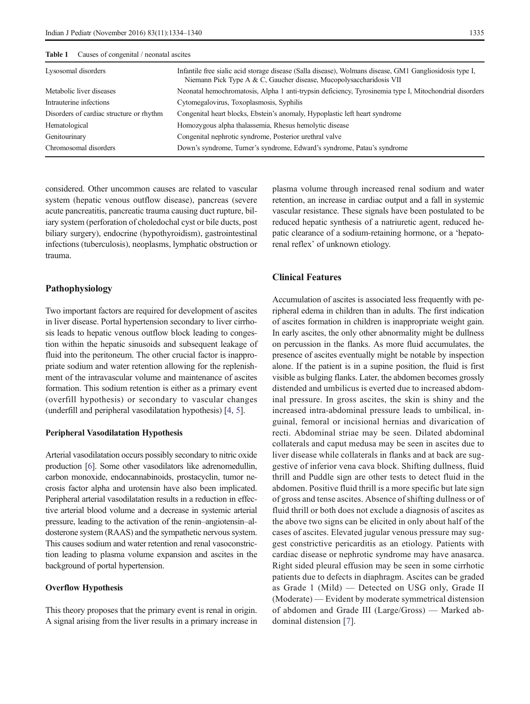#### <span id="page-1-0"></span>Table 1 Causes of congenital / neonatal ascites

| Lysosomal disorders                      | Infantile free sialic acid storage disease (Salla disease), Wolmans disease, GM1 Gangliosidosis type I,<br>Niemann Pick Type A & C, Gaucher disease, Mucopolysaccharidosis VII |
|------------------------------------------|--------------------------------------------------------------------------------------------------------------------------------------------------------------------------------|
| Metabolic liver diseases                 | Neonatal hemochromatosis, Alpha 1 anti-trypsin deficiency, Tyrosinemia type I, Mitochondrial disorders                                                                         |
| Intrauterine infections                  | Cytomegalovirus, Toxoplasmosis, Syphilis                                                                                                                                       |
| Disorders of cardiac structure or rhythm | Congenital heart blocks, Ebstein's anomaly, Hypoplastic left heart syndrome                                                                                                    |
| Hematological                            | Homozygous alpha thalassemia, Rhesus hemolytic disease                                                                                                                         |
| Genitourinary                            | Congenital nephrotic syndrome, Posterior urethral valve                                                                                                                        |
| Chromosomal disorders                    | Down's syndrome, Turner's syndrome, Edward's syndrome, Patau's syndrome                                                                                                        |

considered. Other uncommon causes are related to vascular system (hepatic venous outflow disease), pancreas (severe acute pancreatitis, pancreatic trauma causing duct rupture, biliary system (perforation of choledochal cyst or bile ducts, post biliary surgery), endocrine (hypothyroidism), gastrointestinal infections (tuberculosis), neoplasms, lymphatic obstruction or trauma.

# Pathophysiology

Two important factors are required for development of ascites in liver disease. Portal hypertension secondary to liver cirrhosis leads to hepatic venous outflow block leading to congestion within the hepatic sinusoids and subsequent leakage of fluid into the peritoneum. The other crucial factor is inappropriate sodium and water retention allowing for the replenishment of the intravascular volume and maintenance of ascites formation. This sodium retention is either as a primary event (overfill hypothesis) or secondary to vascular changes (underfill and peripheral vasodilatation hypothesis) [\[4](#page-6-0), [5](#page-6-0)].

#### Peripheral Vasodilatation Hypothesis

Arterial vasodilatation occurs possibly secondary to nitric oxide production [[6](#page-6-0)]. Some other vasodilators like adrenomedullin, carbon monoxide, endocannabinoids, prostacyclin, tumor necrosis factor alpha and urotensin have also been implicated. Peripheral arterial vasodilatation results in a reduction in effective arterial blood volume and a decrease in systemic arterial pressure, leading to the activation of the renin–angiotensin–aldosterone system (RAAS) and the sympathetic nervous system. This causes sodium and water retention and renal vasoconstriction leading to plasma volume expansion and ascites in the background of portal hypertension.

#### Overflow Hypothesis

This theory proposes that the primary event is renal in origin. A signal arising from the liver results in a primary increase in

plasma volume through increased renal sodium and water retention, an increase in cardiac output and a fall in systemic vascular resistance. These signals have been postulated to be reduced hepatic synthesis of a natriuretic agent, reduced hepatic clearance of a sodium-retaining hormone, or a 'hepatorenal reflex' of unknown etiology.

# Clinical Features

Accumulation of ascites is associated less frequently with peripheral edema in children than in adults. The first indication of ascites formation in children is inappropriate weight gain. In early ascites, the only other abnormality might be dullness on percussion in the flanks. As more fluid accumulates, the presence of ascites eventually might be notable by inspection alone. If the patient is in a supine position, the fluid is first visible as bulging flanks. Later, the abdomen becomes grossly distended and umbilicus is everted due to increased abdominal pressure. In gross ascites, the skin is shiny and the increased intra-abdominal pressure leads to umbilical, inguinal, femoral or incisional hernias and divarication of recti. Abdominal striae may be seen. Dilated abdominal collaterals and caput medusa may be seen in ascites due to liver disease while collaterals in flanks and at back are suggestive of inferior vena cava block. Shifting dullness, fluid thrill and Puddle sign are other tests to detect fluid in the abdomen. Positive fluid thrill is a more specific but late sign of gross and tense ascites. Absence of shifting dullness or of fluid thrill or both does not exclude a diagnosis of ascites as the above two signs can be elicited in only about half of the cases of ascites. Elevated jugular venous pressure may suggest constrictive pericarditis as an etiology. Patients with cardiac disease or nephrotic syndrome may have anasarca. Right sided pleural effusion may be seen in some cirrhotic patients due to defects in diaphragm. Ascites can be graded as Grade 1 (Mild) — Detected on USG only, Grade II (Moderate) — Evident by moderate symmetrical distension of abdomen and Grade III (Large/Gross) — Marked abdominal distension [[7](#page-6-0)].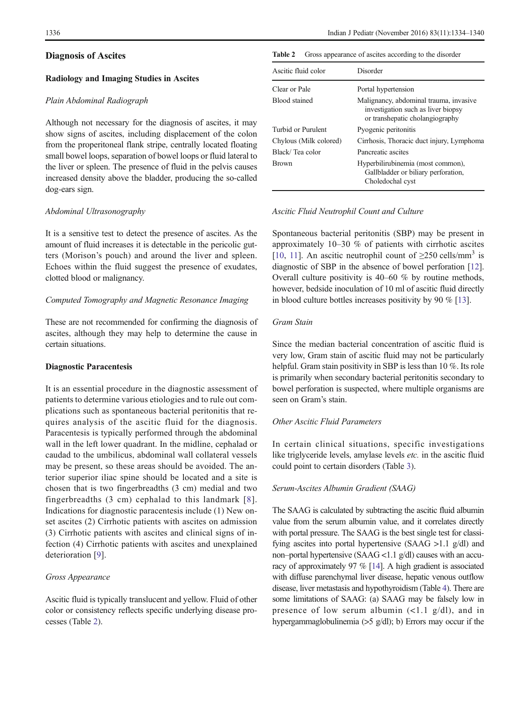# Diagnosis of Ascites

# Radiology and Imaging Studies in Ascites

# Plain Abdominal Radiograph

Although not necessary for the diagnosis of ascites, it may show signs of ascites, including displacement of the colon from the properitoneal flank stripe, centrally located floating small bowel loops, separation of bowel loops or fluid lateral to the liver or spleen. The presence of fluid in the pelvis causes increased density above the bladder, producing the so-called dog-ears sign.

#### Abdominal Ultrasonography

It is a sensitive test to detect the presence of ascites. As the amount of fluid increases it is detectable in the pericolic gutters (Morison's pouch) and around the liver and spleen. Echoes within the fluid suggest the presence of exudates, clotted blood or malignancy.

# Computed Tomography and Magnetic Resonance Imaging

These are not recommended for confirming the diagnosis of ascites, although they may help to determine the cause in certain situations.

#### Diagnostic Paracentesis

It is an essential procedure in the diagnostic assessment of patients to determine various etiologies and to rule out complications such as spontaneous bacterial peritonitis that requires analysis of the ascitic fluid for the diagnosis. Paracentesis is typically performed through the abdominal wall in the left lower quadrant. In the midline, cephalad or caudad to the umbilicus, abdominal wall collateral vessels may be present, so these areas should be avoided. The anterior superior iliac spine should be located and a site is chosen that is two fingerbreadths (3 cm) medial and two fingerbreadths (3 cm) cephalad to this landmark [[8\]](#page-6-0). Indications for diagnostic paracentesis include (1) New onset ascites (2) Cirrhotic patients with ascites on admission (3) Cirrhotic patients with ascites and clinical signs of infection (4) Cirrhotic patients with ascites and unexplained deterioration [[9\]](#page-6-0).

# Gross Appearance

Ascitic fluid is typically translucent and yellow. Fluid of other color or consistency reflects specific underlying disease processes (Table 2).

#### Table 2 Gross appearance of ascites according to the disorder

| Ascitic fluid color    | Disorder                                                                                                        |  |  |
|------------------------|-----------------------------------------------------------------------------------------------------------------|--|--|
| Clear or Pale          | Portal hypertension                                                                                             |  |  |
| Blood stained          | Malignancy, abdominal trauma, invasive<br>investigation such as liver biopsy<br>or transhepatic cholangiography |  |  |
| Turbid or Purulent     | Pyogenic peritonitis                                                                                            |  |  |
| Chylous (Milk colored) | Cirrhosis, Thoracic duct injury, Lymphoma                                                                       |  |  |
| Black/Tea color        | Pancreatic ascites                                                                                              |  |  |
| <b>Brown</b>           | Hyperbilirubinemia (most common),<br>Gallbladder or biliary perforation,<br>Choledochal cyst                    |  |  |

#### Ascitic Fluid Neutrophil Count and Culture

Spontaneous bacterial peritonitis (SBP) may be present in approximately 10–30 % of patients with cirrhotic ascites [\[10](#page-6-0), [11](#page-6-0)]. An ascitic neutrophil count of  $\geq$ 250 cells/mm<sup>3</sup> is diagnostic of SBP in the absence of bowel perforation [[12\]](#page-6-0). Overall culture positivity is 40–60 % by routine methods, however, bedside inoculation of 10 ml of ascitic fluid directly in blood culture bottles increases positivity by 90 % [[13](#page-6-0)].

## Gram Stain

Since the median bacterial concentration of ascitic fluid is very low, Gram stain of ascitic fluid may not be particularly helpful. Gram stain positivity in SBP is less than 10 %. Its role is primarily when secondary bacterial peritonitis secondary to bowel perforation is suspected, where multiple organisms are seen on Gram's stain.

## Other Ascitic Fluid Parameters

In certain clinical situations, specific investigations like triglyceride levels, amylase levels etc. in the ascitic fluid could point to certain disorders (Table [3\)](#page-3-0).

#### Serum-Ascites Albumin Gradient (SAAG)

The SAAG is calculated by subtracting the ascitic fluid albumin value from the serum albumin value, and it correlates directly with portal pressure. The SAAG is the best single test for classifying ascites into portal hypertensive (SAAG >1.1 g/dl) and non–portal hypertensive (SAAG <1.1 g/dl) causes with an accuracy of approximately 97 % [\[14](#page-6-0)]. A high gradient is associated with diffuse parenchymal liver disease, hepatic venous outflow disease, liver metastasis and hypothyroidism (Table [4\)](#page-3-0). There are some limitations of SAAG: (a) SAAG may be falsely low in presence of low serum albumin  $\left(\frac{1}{1} \frac{g}{dl}\right)$ , and in hypergammaglobulinemia (>5 g/dl); b) Errors may occur if the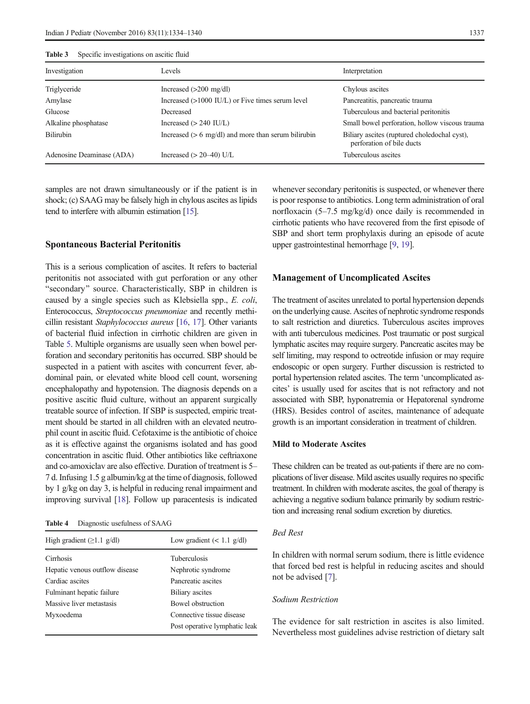<span id="page-3-0"></span>

| Investigation                                                                     | Levels                                             | Interpretation                                                            |  |
|-----------------------------------------------------------------------------------|----------------------------------------------------|---------------------------------------------------------------------------|--|
| Triglyceride                                                                      | Increased $(>200 \text{ mg/dl})$                   | Chylous ascites                                                           |  |
| Amylase                                                                           | Increased $(>1000$ IU/L) or Five times serum level | Pancreatitis, pancreatic trauma                                           |  |
| Glucose                                                                           | Decreased                                          | Tuberculous and bacterial peritonitis                                     |  |
| Alkaline phosphatase                                                              | Increased $(> 240 \text{ IU/L})$                   | Small bowel perforation, hollow viscous trauma                            |  |
| <b>Bilirubin</b><br>Increased $(> 6 \text{ mg/dl})$ and more than serum bilirubin |                                                    | Biliary ascites (ruptured choledochal cyst),<br>perforation of bile ducts |  |
| Adenosine Deaminase (ADA)                                                         | Increased $(> 20-40)$ U/L                          | Tuberculous ascites                                                       |  |

samples are not drawn simultaneously or if the patient is in shock; (c) SAAG may be falsely high in chylous ascites as lipids tend to interfere with albumin estimation [[15](#page-6-0)].

# Spontaneous Bacterial Peritonitis

This is a serious complication of ascites. It refers to bacterial peritonitis not associated with gut perforation or any other "secondary" source. Characteristically, SBP in children is caused by a single species such as Klebsiella spp., E. coli, Enterococcus, Streptococcus pneumoniae and recently methicillin resistant Staphylococcus aureus [\[16,](#page-6-0) [17](#page-6-0)]. Other variants of bacterial fluid infection in cirrhotic children are given in Table [5](#page-4-0). Multiple organisms are usually seen when bowel perforation and secondary peritonitis has occurred. SBP should be suspected in a patient with ascites with concurrent fever, abdominal pain, or elevated white blood cell count, worsening encephalopathy and hypotension. The diagnosis depends on a positive ascitic fluid culture, without an apparent surgically treatable source of infection. If SBP is suspected, empiric treatment should be started in all children with an elevated neutrophil count in ascitic fluid. Cefotaxime is the antibiotic of choice as it is effective against the organisms isolated and has good concentration in ascitic fluid. Other antibiotics like ceftriaxone and co-amoxiclav are also effective. Duration of treatment is 5– 7 d. Infusing 1.5 g albumin/kg at the time of diagnosis, followed by 1 g/kg on day 3, is helpful in reducing renal impairment and improving survival [[18](#page-6-0)]. Follow up paracentesis is indicated

Table 4 Diagnostic usefulness of SAAG

| High gradient $(\geq 1.1 \text{ g/dl})$ | Low gradient $(< 1.1$ g/dl)   |
|-----------------------------------------|-------------------------------|
| Cirrhosis                               | <b>Tuberculosis</b>           |
| Hepatic venous outflow disease          | Nephrotic syndrome            |
| Cardiac ascites                         | Pancreatic ascites            |
| Fulminant hepatic failure               | <b>Biliary</b> ascites        |
| Massive liver metastasis                | Bowel obstruction             |
| Myxoedema                               | Connective tissue disease     |
|                                         | Post operative lymphatic leak |

whenever secondary peritonitis is suspected, or whenever there is poor response to antibiotics. Long term administration of oral norfloxacin (5–7.5 mg/kg/d) once daily is recommended in cirrhotic patients who have recovered from the first episode of SBP and short term prophylaxis during an episode of acute upper gastrointestinal hemorrhage [\[9,](#page-6-0) [19](#page-6-0)].

# Management of Uncomplicated Ascites

The treatment of ascites unrelated to portal hypertension depends on the underlying cause. Ascites of nephrotic syndrome responds to salt restriction and diuretics. Tuberculous ascites improves with anti tuberculous medicines. Post traumatic or post surgical lymphatic ascites may require surgery. Pancreatic ascites may be self limiting, may respond to octreotide infusion or may require endoscopic or open surgery. Further discussion is restricted to portal hypertension related ascites. The term 'uncomplicated ascites' is usually used for ascites that is not refractory and not associated with SBP, hyponatremia or Hepatorenal syndrome (HRS). Besides control of ascites, maintenance of adequate growth is an important consideration in treatment of children.

# Mild to Moderate Ascites

These children can be treated as out-patients if there are no complications of liver disease. Mild ascites usually requires no specific treatment. In children with moderate ascites, the goal of therapy is achieving a negative sodium balance primarily by sodium restriction and increasing renal sodium excretion by diuretics.

# Bed Rest

In children with normal serum sodium, there is little evidence that forced bed rest is helpful in reducing ascites and should not be advised [\[7](#page-6-0)].

#### Sodium Restriction

The evidence for salt restriction in ascites is also limited. Nevertheless most guidelines advise restriction of dietary salt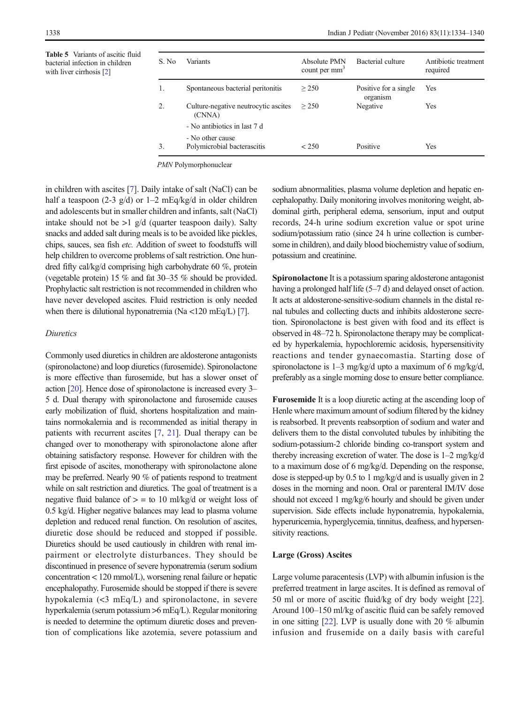<span id="page-4-0"></span>Table 5 Variants of ascitic fluid bacterial infection in children with liver cirrhosis [[2\]](#page-6-0)

| S. No | Variants                                       | Absolute PMN<br>count per $mm3$ | Bacterial culture                 | Antibiotic treatment<br>required |  |  |
|-------|------------------------------------------------|---------------------------------|-----------------------------------|----------------------------------|--|--|
| 1.    | Spontaneous bacterial peritonitis              | > 250                           | Positive for a single<br>organism | Yes                              |  |  |
| 2.    | Culture-negative neutrocytic ascites<br>(CNNA) | > 250                           | Negative                          | Yes                              |  |  |
|       | - No antibiotics in last 7 d                   |                                 |                                   |                                  |  |  |
|       | - No other cause                               |                                 |                                   |                                  |  |  |
| 3.    | Polymicrobial bacterascitis                    | < 250                           | Positive                          | Yes                              |  |  |

PMN Polymorphonuclear

in children with ascites [[7\]](#page-6-0). Daily intake of salt (NaCl) can be half a teaspoon (2-3 g/d) or  $1-2$  mEq/kg/d in older children and adolescents but in smaller children and infants, salt (NaCl) intake should not be  $>1$  g/d (quarter teaspoon daily). Salty snacks and added salt during meals is to be avoided like pickles, chips, sauces, sea fish etc. Addition of sweet to foodstuffs will help children to overcome problems of salt restriction. One hundred fifty cal/kg/d comprising high carbohydrate 60 %, protein (vegetable protein) 15 % and fat 30–35 % should be provided. Prophylactic salt restriction is not recommended in children who have never developed ascites. Fluid restriction is only needed when there is dilutional hyponatremia (Na <120 mEq/L) [\[7\]](#page-6-0).

## Diuretics

Commonly used diuretics in children are aldosterone antagonists (spironolactone) and loop diuretics (furosemide). Spironolactone is more effective than furosemide, but has a slower onset of action [\[20\]](#page-6-0). Hence dose of spironolactone is increased every 3– 5 d. Dual therapy with spironolactone and furosemide causes early mobilization of fluid, shortens hospitalization and maintains normokalemia and is recommended as initial therapy in patients with recurrent ascites [[7,](#page-6-0) [21\]](#page-6-0). Dual therapy can be changed over to monotherapy with spironolactone alone after obtaining satisfactory response. However for children with the first episode of ascites, monotherapy with spironolactone alone may be preferred. Nearly 90 % of patients respond to treatment while on salt restriction and diuretics. The goal of treatment is a negative fluid balance of  $>$  = to 10 ml/kg/d or weight loss of 0.5 kg/d. Higher negative balances may lead to plasma volume depletion and reduced renal function. On resolution of ascites, diuretic dose should be reduced and stopped if possible. Diuretics should be used cautiously in children with renal impairment or electrolyte disturbances. They should be discontinued in presence of severe hyponatremia (serum sodium concentration < 120 mmol/L), worsening renal failure or hepatic encephalopathy. Furosemide should be stopped if there is severe hypokalemia (<3 mEq/L) and spironolactone, in severe hyperkalemia (serum potassium >6 mEq/L). Regular monitoring is needed to determine the optimum diuretic doses and prevention of complications like azotemia, severe potassium and

sodium abnormalities, plasma volume depletion and hepatic encephalopathy. Daily monitoring involves monitoring weight, abdominal girth, peripheral edema, sensorium, input and output records, 24-h urine sodium excretion value or spot urine sodium/potassium ratio (since 24 h urine collection is cumbersome in children), and daily blood biochemistry value of sodium, potassium and creatinine.

Spironolactone It is a potassium sparing aldosterone antagonist having a prolonged half life (5–7 d) and delayed onset of action. It acts at aldosterone-sensitive-sodium channels in the distal renal tubules and collecting ducts and inhibits aldosterone secretion. Spironolactone is best given with food and its effect is observed in 48–72 h. Spironolactone therapy may be complicated by hyperkalemia, hypochloremic acidosis, hypersensitivity reactions and tender gynaecomastia. Starting dose of spironolactone is 1–3 mg/kg/d upto a maximum of 6 mg/kg/d, preferably as a single morning dose to ensure better compliance.

Furosemide It is a loop diuretic acting at the ascending loop of Henle where maximum amount of sodium filtered by the kidney is reabsorbed. It prevents reabsorption of sodium and water and delivers them to the distal convoluted tubules by inhibiting the sodium-potassium-2 chloride binding co-transport system and thereby increasing excretion of water. The dose is 1–2 mg/kg/d to a maximum dose of 6 mg/kg/d. Depending on the response, dose is stepped-up by 0.5 to 1 mg/kg/d and is usually given in 2 doses in the morning and noon. Oral or parenteral IM/IV dose should not exceed 1 mg/kg/6 hourly and should be given under supervision. Side effects include hyponatremia, hypokalemia, hyperuricemia, hyperglycemia, tinnitus, deafness, and hypersensitivity reactions.

# Large (Gross) Ascites

Large volume paracentesis (LVP) with albumin infusion is the preferred treatment in large ascites. It is defined as removal of 50 ml or more of ascitic fluid/kg of dry body weight [[22\]](#page-6-0). Around 100–150 ml/kg of ascitic fluid can be safely removed in one sitting [[22\]](#page-6-0). LVP is usually done with 20 % albumin infusion and frusemide on a daily basis with careful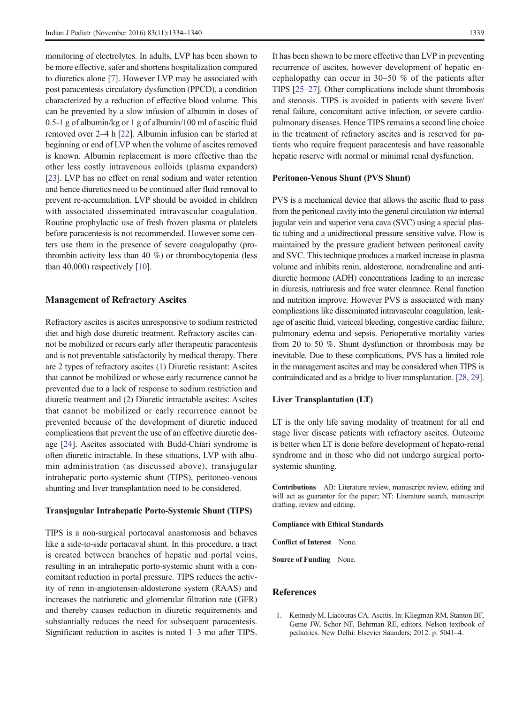<span id="page-5-0"></span>monitoring of electrolytes. In adults, LVP has been shown to be more effective, safer and shortens hospitalization compared to diuretics alone [[7\]](#page-6-0). However LVP may be associated with post paracentesis circulatory dysfunction (PPCD), a condition characterized by a reduction of effective blood volume. This can be prevented by a slow infusion of albumin in doses of 0.5-1 g of albumin/kg or 1 g of albumin/100 ml of ascitic fluid removed over 2–4h[[22\]](#page-6-0). Albumin infusion can be started at beginning or end of LVP when the volume of ascites removed is known. Albumin replacement is more effective than the other less costly intravenous colloids (plasma expanders) [\[23\]](#page-6-0). LVP has no effect on renal sodium and water retention and hence diuretics need to be continued after fluid removal to prevent re-accumulation. LVP should be avoided in children with associated disseminated intravascular coagulation. Routine prophylactic use of fresh frozen plasma or platelets before paracentesis is not recommended. However some centers use them in the presence of severe coagulopathy (prothrombin activity less than 40 %) or thrombocytopenia (less than 40,000) respectively  $[10]$  $[10]$ .

# Management of Refractory Ascites

Refractory ascites is ascites unresponsive to sodium restricted diet and high dose diuretic treatment. Refractory ascites cannot be mobilized or recurs early after therapeutic paracentesis and is not preventable satisfactorily by medical therapy. There are 2 types of refractory ascites (1) Diuretic resistant: Ascites that cannot be mobilized or whose early recurrence cannot be prevented due to a lack of response to sodium restriction and diuretic treatment and (2) Diuretic intractable ascites: Ascites that cannot be mobilized or early recurrence cannot be prevented because of the development of diuretic induced complications that prevent the use of an effective diuretic dosage [\[24](#page-6-0)]. Ascites associated with Budd-Chiari syndrome is often diuretic intractable. In these situations, LVP with albumin administration (as discussed above), transjugular intrahepatic porto-systemic shunt (TIPS), peritoneo-venous shunting and liver transplantation need to be considered.

#### Transjugular Intrahepatic Porto-Systemic Shunt (TIPS)

TIPS is a non-surgical portocaval anastomosis and behaves like a side-to-side portacaval shunt. In this procedure, a tract is created between branches of hepatic and portal veins, resulting in an intrahepatic porto-systemic shunt with a concomitant reduction in portal pressure. TIPS reduces the activity of renn in-angiotensin-aldosterone system (RAAS) and increases the natriuretic and glomerular filtration rate (GFR) and thereby causes reduction in diuretic requirements and substantially reduces the need for subsequent paracentesis. Significant reduction in ascites is noted 1–3 mo after TIPS.

It has been shown to be more effective than LVP in preventing recurrence of ascites, however development of hepatic encephalopathy can occur in 30–50 % of the patients after TIPS [[25](#page-6-0)–[27](#page-6-0)]. Other complications include shunt thrombosis and stenosis. TIPS is avoided in patients with severe liver/ renal failure, concomitant active infection, or severe cardiopulmonary diseases. Hence TIPS remains a second line choice in the treatment of refractory ascites and is reserved for patients who require frequent paracentesis and have reasonable hepatic reserve with normal or minimal renal dysfunction.

#### Peritoneo-Venous Shunt (PVS Shunt)

PVS is a mechanical device that allows the ascitic fluid to pass from the peritoneal cavity into the general circulation via internal jugular vein and superior vena cava (SVC) using a special plastic tubing and a unidirectional pressure sensitive valve. Flow is maintained by the pressure gradient between peritoneal cavity and SVC. This technique produces a marked increase in plasma volume and inhibits renin, aldosterone, noradrenaline and antidiuretic hormone (ADH) concentrations leading to an increase in diuresis, natriuresis and free water clearance. Renal function and nutrition improve. However PVS is associated with many complications like disseminated intravascular coagulation, leakage of ascitic fluid, variceal bleeding, congestive cardiac failure, pulmonary edema and sepsis. Perioperative mortality varies from 20 to 50 %. Shunt dysfunction or thrombosis may be inevitable. Due to these complications, PVS has a limited role in the management ascites and may be considered when TIPS is contraindicated and as a bridge to liver transplantation. [\[28,](#page-6-0) [29\]](#page-6-0).

# Liver Transplantation (LT)

LT is the only life saving modality of treatment for all end stage liver disease patients with refractory ascites. Outcome is better when LT is done before development of hepato-renal syndrome and in those who did not undergo surgical portosystemic shunting.

Contributions AB: Literature review, manuscript review, editing and will act as guarantor for the paper; NT: Literature search, manuscript drafting, review and editing.

#### Compliance with Ethical Standards

Conflict of Interest None.

Source of Funding None.

# References

1. Kennedy M, Liacouras CA. Ascitis. In: Kliegman RM, Stanton BF, Geme JW, Schor NF, Behrman RE, editors. Nelson textbook of pediatrics. New Delhi: Elsevier Saunders; 2012. p. 5041–4.